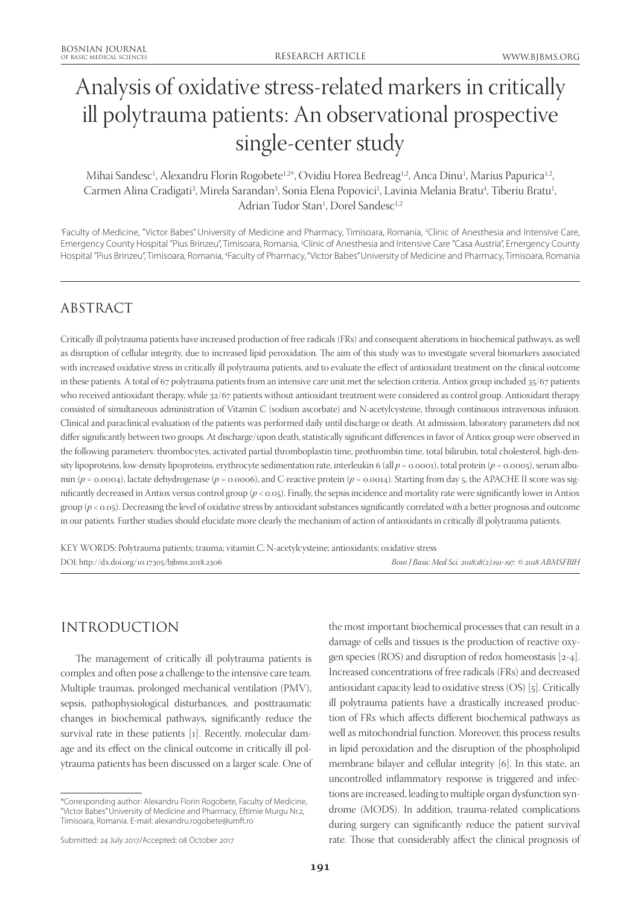# Analysis of oxidative stress-related markers in critically ill polytrauma patients: An observational prospective single-center study

Mihai Sandesc<sup>1</sup>, Alexandru Florin Rogobete<sup>1,2</sup>\*, Ovidiu Horea Bedreag<sup>1,2</sup>, Anca Dinu<sup>1</sup>, Marius Papurica<sup>1,2</sup>, Carmen Alina Cradigati<sup>3</sup>, Mirela Sarandan<sup>3</sup>, Sonia Elena Popovici<sup>1</sup>, Lavinia Melania Bratu<sup>4</sup>, Tiberiu Bratu<sup>1</sup>, Adrian Tudor Stan<sup>1</sup>, Dorel Sandesc<sup>1,2</sup>

1 Faculty of Medicine, "Victor Babes" University of Medicine and Pharmacy, Timisoara, Romania, 2 Clinic of Anesthesia and Intensive Care, Emergency County Hospital "Pius Brinzeu", Timisoara, Romania, <sup>3</sup>Clinic of Anesthesia and Intensive Care "Casa Austria", Emergency County Hospital "Pius Brinzeu", Timisoara, Romania, <sup>4</sup>Faculty of Pharmacy, "Victor Babes" University of Medicine and Pharmacy, Timisoara, Romania

# ABSTRACT

Critically ill polytrauma patients have increased production of free radicals (FRs) and consequent alterations in biochemical pathways, as well as disruption of cellular integrity, due to increased lipid peroxidation. The aim of this study was to investigate several biomarkers associated with increased oxidative stress in critically ill polytrauma patients, and to evaluate the effect of antioxidant treatment on the clinical outcome in these patients. A total of 67 polytrauma patients from an intensive care unit met the selection criteria. Antiox group included 35/67 patients who received antioxidant therapy, while 32/67 patients without antioxidant treatment were considered as control group. Antioxidant therapy consisted of simultaneous administration of Vitamin C (sodium ascorbate) and N-acetylcysteine, through continuous intravenous infusion. Clinical and paraclinical evaluation of the patients was performed daily until discharge or death. At admission, laboratory parameters did not differ significantly between two groups. At discharge/upon death, statistically significant differences in favor of Antiox group were observed in the following parameters: thrombocytes, activated partial thromboplastin time, prothrombin time, total bilirubin, total cholesterol, high-density lipoproteins, low-density lipoproteins, erythrocyte sedimentation rate, interleukin 6 (all  $p = 0.0001$ ), total protein ( $p = 0.0005$ ), serum albumin ( $p = 0.0004$ ), lactate dehydrogenase ( $p = 0.0006$ ), and C-reactive protein ( $p = 0.0014$ ). Starting from day 5, the APACHE II score was significantly decreased in Antiox versus control group (*p* < 0.05). Finally, the sepsis incidence and mortality rate were significantly lower in Antiox group (*p* < 0.05). Decreasing the level of oxidative stress by antioxidant substances significantly correlated with a better prognosis and outcome in our patients. Further studies should elucidate more clearly the mechanism of action of antioxidants in critically ill polytrauma patients.

KEY WORDS: Polytrauma patients; trauma; vitamin C; N-acetylcysteine; antioxidants; oxidative stress DOI: http://dx.doi.org/10.17305/bjbms.2018.2306 *Bosn J Basic Med Sci. 2018;18(2):191-197. © 2018 ABMSFBIH*

# INTRODUCTION

The management of critically ill polytrauma patients is complex and often pose a challenge to the intensive care team. Multiple traumas, prolonged mechanical ventilation (PMV), sepsis, pathophysiological disturbances, and posttraumatic changes in biochemical pathways, significantly reduce the survival rate in these patients [1]. Recently, molecular damage and its effect on the clinical outcome in critically ill polytrauma patients has been discussed on a larger scale. One of the most important biochemical processes that can result in a damage of cells and tissues is the production of reactive oxygen species (ROS) and disruption of redox homeostasis [2-4]. Increased concentrations of free radicals (FRs) and decreased antioxidant capacity lead to oxidative stress (OS) [5]. Critically ill polytrauma patients have a drastically increased production of FRs which affects different biochemical pathways as well as mitochondrial function. Moreover, this process results in lipid peroxidation and the disruption of the phospholipid membrane bilayer and cellular integrity [6]. In this state, an uncontrolled inflammatory response is triggered and infections are increased, leading to multiple organ dysfunction syndrome (MODS). In addition, trauma-related complications during surgery can significantly reduce the patient survival rate. Those that considerably affect the clinical prognosis of

<sup>\*</sup>Corresponding author: Alexandru Florin Rogobete, Faculty of Medicine, "Victor Babes" University of Medicine and Pharmacy, Eftimie Murgu Nr.2, Timisoara, Romania. E-mail: alexandru.rogobete@umft.ro

Submitted: 24 July 2017/Accepted: 08 October 2017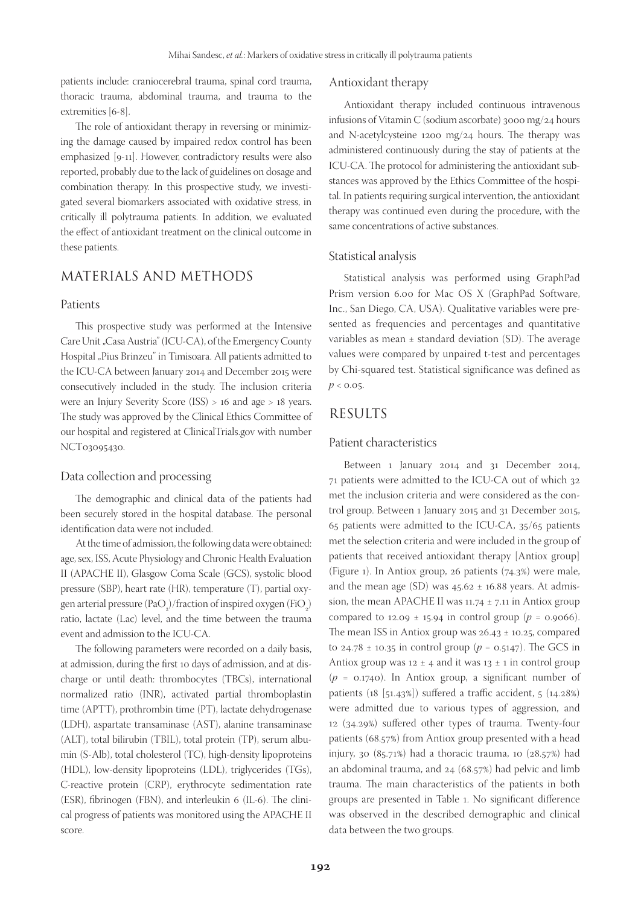patients include: craniocerebral trauma, spinal cord trauma, thoracic trauma, abdominal trauma, and trauma to the extremities [6-8].

The role of antioxidant therapy in reversing or minimizing the damage caused by impaired redox control has been emphasized [9-11]. However, contradictory results were also reported, probably due to the lack of guidelines on dosage and combination therapy. In this prospective study, we investigated several biomarkers associated with oxidative stress, in critically ill polytrauma patients. In addition, we evaluated the effect of antioxidant treatment on the clinical outcome in these patients.

# MATERIALS AND METHODS

#### Patients

This prospective study was performed at the Intensive Care Unit "Casa Austria" (ICU-CA), of the Emergency County Hospital "Pius Brinzeu" in Timisoara. All patients admitted to the ICU-CA between January 2014 and December 2015 were consecutively included in the study. The inclusion criteria were an Injury Severity Score (ISS) > 16 and age > 18 years. The study was approved by the Clinical Ethics Committee of our hospital and registered at ClinicalTrials.gov with number NCT03095430.

#### Data collection and processing

The demographic and clinical data of the patients had been securely stored in the hospital database. The personal identification data were not included.

At the time of admission, the following data were obtained: age, sex, ISS, Acute Physiology and Chronic Health Evaluation II (APACHE II), Glasgow Coma Scale (GCS), systolic blood pressure (SBP), heart rate (HR), temperature (T), partial oxygen arterial pressure (PaO<sub>2</sub>)/fraction of inspired oxygen (FiO<sub>2</sub>) ratio, lactate (Lac) level, and the time between the trauma event and admission to the ICU-CA.

The following parameters were recorded on a daily basis, at admission, during the first 10 days of admission, and at discharge or until death: thrombocytes (TBCs), international normalized ratio (INR), activated partial thromboplastin time (APTT), prothrombin time (PT), lactate dehydrogenase (LDH), aspartate transaminase (AST), alanine transaminase (ALT), total bilirubin (TBIL), total protein (TP), serum albumin (S-Alb), total cholesterol (TC), high-density lipoproteins (HDL), low-density lipoproteins (LDL), triglycerides (TGs), C-reactive protein (CRP), erythrocyte sedimentation rate (ESR), fibrinogen (FBN), and interleukin 6 (IL-6). The clinical progress of patients was monitored using the APACHE II score.

#### Antioxidant therapy

Antioxidant therapy included continuous intravenous infusions of Vitamin C (sodium ascorbate) 3000 mg/24 hours and N-acetylcysteine 1200 mg/24 hours. The therapy was administered continuously during the stay of patients at the ICU-CA. The protocol for administering the antioxidant substances was approved by the Ethics Committee of the hospital. In patients requiring surgical intervention, the antioxidant therapy was continued even during the procedure, with the same concentrations of active substances.

#### Statistical analysis

Statistical analysis was performed using GraphPad Prism version 6.00 for Mac OS X (GraphPad Software, Inc., San Diego, CA, USA). Qualitative variables were presented as frequencies and percentages and quantitative variables as mean  $\pm$  standard deviation (SD). The average values were compared by unpaired t-test and percentages by Chi-squared test. Statistical significance was defined as  $p < 0.05$ .

### RESULTS

#### Patient characteristics

Between 1 January 2014 and 31 December 2014, 71 patients were admitted to the ICU-CA out of which 32 met the inclusion criteria and were considered as the control group. Between 1 January 2015 and 31 December 2015, 65 patients were admitted to the ICU-CA, 35/65 patients met the selection criteria and were included in the group of patients that received antioxidant therapy [Antiox group] (Figure 1). In Antiox group, 26 patients (74.3%) were male, and the mean age (SD) was  $45.62 \pm 16.88$  years. At admission, the mean APACHE II was  $11.74 \pm 7.11$  in Antiox group compared to 12.09  $\pm$  15.94 in control group ( $p = 0.9066$ ). The mean ISS in Antiox group was  $26.43 \pm 10.25$ , compared to 24.78  $\pm$  10.35 in control group ( $p = 0.5147$ ). The GCS in Antiox group was  $12 \pm 4$  and it was  $13 \pm 1$  in control group  $(p = 0.1740)$ . In Antiox group, a significant number of patients (18 [51.43%]) suffered a traffic accident, 5 (14.28%) were admitted due to various types of aggression, and 12 (34.29%) suffered other types of trauma. Twenty-four patients (68.57%) from Antiox group presented with a head injury, 30 (85.71%) had a thoracic trauma, 10 (28.57%) had an abdominal trauma, and 24 (68.57%) had pelvic and limb trauma. The main characteristics of the patients in both groups are presented in Table 1. No significant difference was observed in the described demographic and clinical data between the two groups.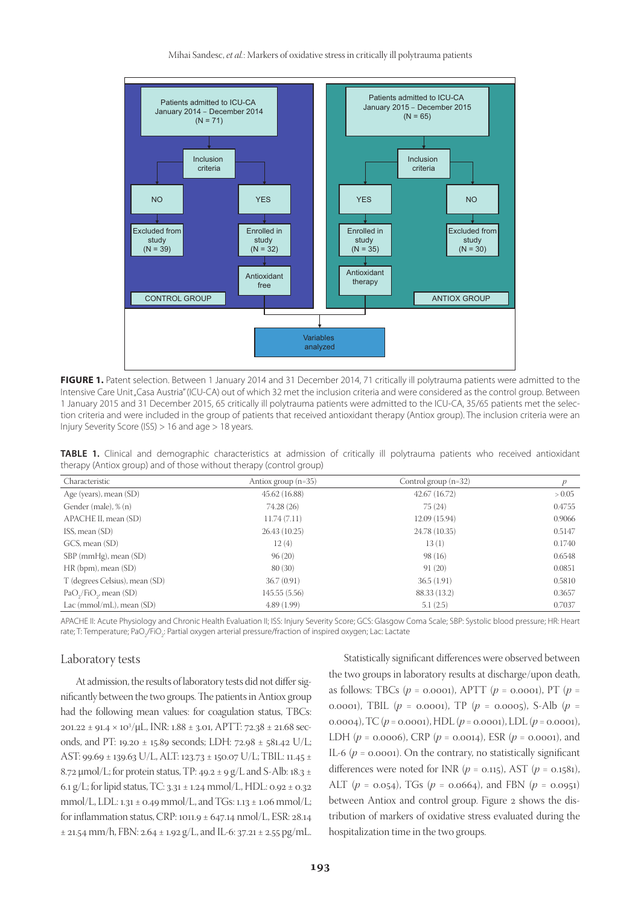Mihai Sandesc, *et al.*: Markers of oxidative stress in critically ill polytrauma patients



FIGURE 1. Patent selection. Between 1 January 2014 and 31 December 2014, 71 critically ill polytrauma patients were admitted to the Intensive Care Unit "Casa Austria" (ICU-CA) out of which 32 met the inclusion criteria and were considered as the control group. Between 1 January 2015 and 31 December 2015, 65 critically ill polytrauma patients were admitted to the ICU-CA, 35/65 patients met the selection criteria and were included in the group of patients that received antioxidant therapy (Antiox group). The inclusion criteria were an Injury Severity Score (ISS) > 16 and age > 18 years.

**TABLE 1.** Clinical and demographic characteristics at admission of critically ill polytrauma patients who received antioxidant therapy (Antiox group) and of those without therapy (control group)

| Characteristic                 | Antiox group $(n=35)$ | Control group $(n=32)$ |        |
|--------------------------------|-----------------------|------------------------|--------|
| Age (years), mean (SD)         | 45.62(16.88)          | 42.67(16.72)           | > 0.05 |
| Gender (male), % (n)           | 74.28 (26)            | 75 (24)                | 0.4755 |
| APACHE II, mean (SD)           | 11.74(7.11)           | 12.09 (15.94)          | 0.9066 |
| ISS, mean (SD)                 | 26.43 (10.25)         | 24.78 (10.35)          | 0.5147 |
| GCS, mean (SD)                 | 12(4)                 | 13(1)                  | 0.1740 |
| SBP (mmHg), mean (SD)          | 96(20)                | 98(16)                 | 0.6548 |
| $HR$ (bpm), mean $(SD)$        | 80(30)                | 91(20)                 | 0.0851 |
| T (degrees Celsius), mean (SD) | 36.7(0.91)            | 36.5(1.91)             | 0.5810 |
| $PaO2/FiO2$ , mean (SD)        | 145.55(5.56)          | 88.33 (13.2)           | 0.3657 |
| Lac (mmol/mL), mean $(SD)$     | 4.89(1.99)            | 5.1(2.5)               | 0.7037 |

APACHE II: Acute Physiology and Chronic Health Evaluation II; ISS: Injury Severity Score; GCS: Glasgow Coma Scale; SBP: Systolic blood pressure; HR: Heart rate; T: Temperature; PaO<sub>2</sub>/FiO<sub>2</sub>: Partial oxygen arterial pressure/fraction of inspired oxygen; Lac: Lactate

#### Laboratory tests

At admission, the results of laboratory tests did not differ significantly between the two groups. The patients in Antiox group had the following mean values: for coagulation status, TBCs: 201.22 ± 91.4 × 103 /μL, INR: 1.88 ± 3.01, APTT: 72.38 ± 21.68 seconds, and PT: 19.20 ± 15.89 seconds; LDH: 72.98 ± 581.42 U/L; AST: 99.69 ± 139.63 U/L, ALT: 123.73 ± 150.07 U/L; TBIL: 11.45 ± 8.72  $\mu$ mol/L; for protein status, TP: 49.2  $\pm$  9 g/L and S-Alb: 18.3  $\pm$ 6.1 g/L; for lipid status, TC:  $3.31 \pm 1.24$  mmol/L, HDL:  $0.92 \pm 0.32$ mmol/L, LDL:  $1.31 \pm 0.49$  mmol/L, and TGs:  $1.13 \pm 1.06$  mmol/L; for inflammation status, CRP: 1011.9 ± 647.14 nmol/L, ESR: 28.14  $\pm$  21.54 mm/h, FBN: 2.64  $\pm$  1.92 g/L, and IL-6: 37.21  $\pm$  2.55 pg/mL.

Statistically significant differences were observed between the two groups in laboratory results at discharge/upon death, as follows: TBCs (*p* = 0.0001), APTT (*p* = 0.0001), PT (*p* = 0.0001), TBIL (*p* = 0.0001), TP (*p* = 0.0005), S-Alb (*p* = 0.0004), TC (*p* = 0.0001), HDL (*p* = 0.0001), LDL (*p* = 0.0001), LDH  $(p = 0.0006)$ , CRP  $(p = 0.0014)$ , ESR  $(p = 0.0001)$ , and IL-6  $(p = 0.0001)$ . On the contrary, no statistically significant differences were noted for INR  $(p = 0.115)$ , AST  $(p = 0.1581)$ , ALT (*p* = 0.054), TGs (*p* = 0.0664), and FBN (*p* = 0.0951) between Antiox and control group. Figure 2 shows the distribution of markers of oxidative stress evaluated during the hospitalization time in the two groups.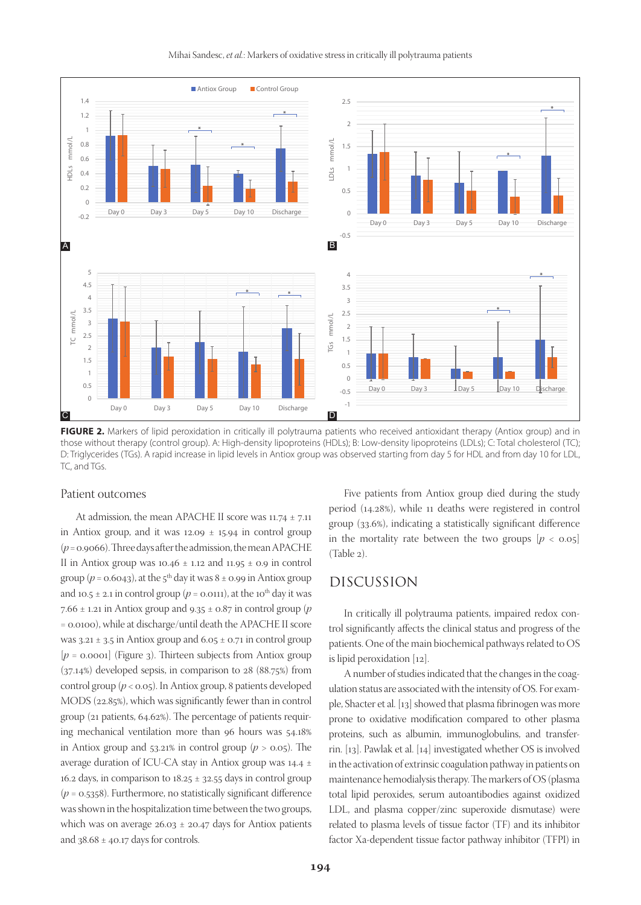

#### Mihai Sandesc, *et al.*: Markers of oxidative stress in critically ill polytrauma patients

**FIGURE 2.** Markers of lipid peroxidation in critically ill polytrauma patients who received antioxidant therapy (Antiox group) and in those without therapy (control group). A: High-density lipoproteins (HDLs); B: Low-density lipoproteins (LDLs); C: Total cholesterol (TC); D: Triglycerides (TGs). A rapid increase in lipid levels in Antiox group was observed starting from day 5 for HDL and from day 10 for LDL, TC, and TGs.

#### Patient outcomes

At admission, the mean APACHE II score was 11.74 ± 7.11 in Antiox group, and it was  $12.09 \pm 15.94$  in control group (*p* = 0.9066). Three days after the admission, the mean APACHE II in Antiox group was 10.46  $\pm$  1.12 and 11.95  $\pm$  0.9 in control group ( $p = 0.6043$ ), at the 5<sup>th</sup> day it was  $8 \pm 0.99$  in Antiox group and 10.5  $\pm$  2.1 in control group ( $p$  = 0.0111), at the 10<sup>th</sup> day it was 7.66 ± 1.21 in Antiox group and 9.35 ± 0.87 in control group (*p* = 0.0100), while at discharge/until death the APACHE II score was  $3.21 \pm 3.5$  in Antiox group and  $6.05 \pm 0.71$  in control group  $[p = 0.0001]$  (Figure 3). Thirteen subjects from Antiox group (37.14%) developed sepsis, in comparison to 28 (88.75%) from control group (*p* < 0.05). In Antiox group, 8 patients developed MODS (22.85%), which was significantly fewer than in control group (21 patients, 64.62%). The percentage of patients requiring mechanical ventilation more than 96 hours was 54.18% in Antiox group and  $53.21\%$  in control group ( $p > 0.05$ ). The average duration of ICU-CA stay in Antiox group was 14.4 ± 16.2 days, in comparison to  $18.25 \pm 32.55$  days in control group  $(p = 0.5358)$ . Furthermore, no statistically significant difference was shown in the hospitalization time between the two groups, which was on average  $26.03 \pm 20.47$  days for Antiox patients and  $38.68 \pm 40.17$  days for controls.

Five patients from Antiox group died during the study period (14.28%), while 11 deaths were registered in control group (33.6%), indicating a statistically significant difference in the mortality rate between the two groups  $[p \lt 0.05]$ (Table 2).

# DISCUSSION

In critically ill polytrauma patients, impaired redox control significantly affects the clinical status and progress of the patients. One of the main biochemical pathways related to OS is lipid peroxidation [12].

A number of studies indicated that the changes in the coagulation status are associated with the intensity of OS. For example, Shacter et al. [13] showed that plasma fibrinogen was more prone to oxidative modification compared to other plasma proteins, such as albumin, immunoglobulins, and transferrin. [13]. Pawlak et al. [14] investigated whether OS is involved in the activation of extrinsic coagulation pathway in patients on maintenance hemodialysis therapy. The markers of OS (plasma total lipid peroxides, serum autoantibodies against oxidized LDL, and plasma copper/zinc superoxide dismutase) were related to plasma levels of tissue factor (TF) and its inhibitor factor Xa-dependent tissue factor pathway inhibitor (TFPI) in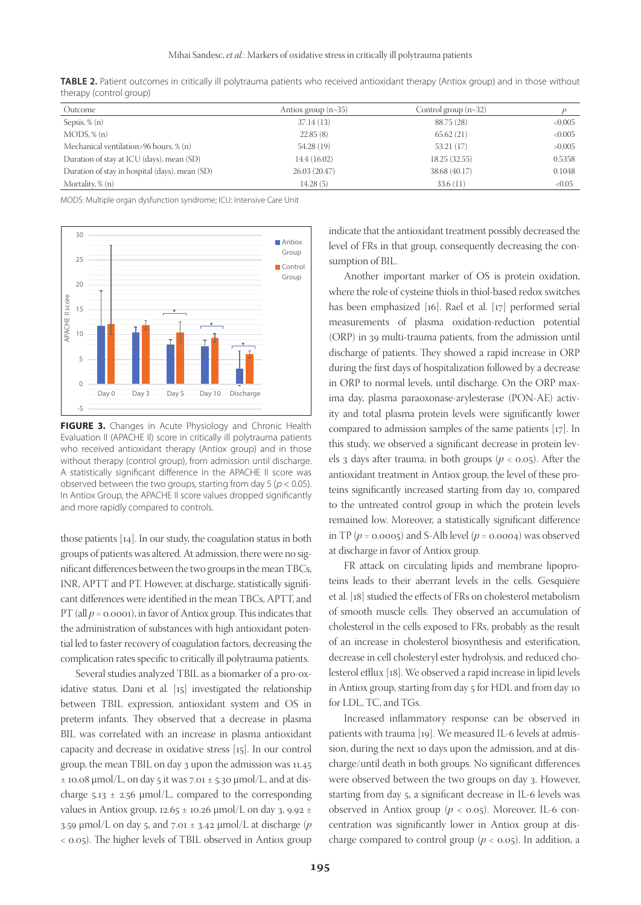| Outcome                                        | Antiox group $(n=35)$ | Control group $(n=32)$ |        |
|------------------------------------------------|-----------------------|------------------------|--------|
| Sepsis, $\%$ (n)                               | 37.14(13)             | 88.75 (28)             | <0.005 |
| MODS, % (n)                                    | 22.85(8)              | 65.62(21)              | <0.005 |
| Mechanical ventilation>96 hours, % (n)         | 54.28 (19)            | 53.21(17)              | >0.005 |
| Duration of stay at ICU (days), mean (SD)      | 14.4 (16.02)          | 18.25 (32.55)          | 0.5358 |
| Duration of stay in hospital (days), mean (SD) | 26.03(20.47)          | 38.68 (40.17)          | 0.1048 |
| Mortality, % (n)                               | 14.28(5)              | 33.6(11)               | <0.05  |

**TABLE 2.** Patient outcomes in critically ill polytrauma patients who received antioxidant therapy (Antiox group) and in those without therapy (control group)

MODS: Multiple organ dysfunction syndrome; ICU: Intensive Care Unit



**FIGURE 3.** Changes in Acute Physiology and Chronic Health Evaluation II (APACHE II) score in critically ill polytrauma patients who received antioxidant therapy (Antiox group) and in those without therapy (control group), from admission until discharge. A statistically significant difference in the APACHE II score was observed between the two groups, starting from day 5 ( $p < 0.05$ ). In Antiox Group, the APACHE II score values dropped significantly and more rapidly compared to controls.

those patients [14]. In our study, the coagulation status in both groups of patients was altered. At admission, there were no significant differences between the two groups in the mean TBCs, INR, APTT and PT. However, at discharge, statistically significant differences were identified in the mean TBCs, APTT, and PT (all *p* = 0.0001), in favor of Antiox group. This indicates that the administration of substances with high antioxidant potential led to faster recovery of coagulation factors, decreasing the complication rates specific to critically ill polytrauma patients.

Several studies analyzed TBIL as a biomarker of a pro-oxidative status. Dani et al. [15] investigated the relationship between TBIL expression, antioxidant system and OS in preterm infants. They observed that a decrease in plasma BIL was correlated with an increase in plasma antioxidant capacity and decrease in oxidative stress [15]. In our control group, the mean TBIL on day 3 upon the admission was 11.45  $\pm$  10.08 µmol/L, on day 5 it was 7.01  $\pm$  5.30 µmol/L, and at discharge  $5.13 \pm 2.56 \mu$ mol/L, compared to the corresponding values in Antiox group, 12.65  $\pm$  10.26  $\mu$ mol/L on day 3, 9.92  $\pm$ 3.59 µmol/L on day 5, and 7.01 ± 3.42 µmol/L at discharge (*p* < 0.05). The higher levels of TBIL observed in Antiox group

indicate that the antioxidant treatment possibly decreased the level of FRs in that group, consequently decreasing the consumption of BIL.

Another important marker of OS is protein oxidation, where the role of cysteine thiols in thiol-based redox switches has been emphasized [16]. Rael et al. [17] performed serial measurements of plasma oxidation-reduction potential (ORP) in 39 multi-trauma patients, from the admission until discharge of patients. They showed a rapid increase in ORP during the first days of hospitalization followed by a decrease in ORP to normal levels, until discharge. On the ORP maxima day, plasma paraoxonase-arylesterase (PON-AE) activity and total plasma protein levels were significantly lower compared to admission samples of the same patients [17]. In this study, we observed a significant decrease in protein levels 3 days after trauma, in both groups ( $p < 0.05$ ). After the antioxidant treatment in Antiox group, the level of these proteins significantly increased starting from day 10, compared to the untreated control group in which the protein levels remained low. Moreover, a statistically significant difference in TP ( $p = 0.0005$ ) and S-Alb level ( $p = 0.0004$ ) was observed at discharge in favor of Antiox group.

FR attack on circulating lipids and membrane lipoproteins leads to their aberrant levels in the cells. Gesquière et al. [18] studied the effects of FRs on cholesterol metabolism of smooth muscle cells. They observed an accumulation of cholesterol in the cells exposed to FRs, probably as the result of an increase in cholesterol biosynthesis and esterification, decrease in cell cholesteryl ester hydrolysis, and reduced cholesterol efflux [18]. We observed a rapid increase in lipid levels in Antiox group, starting from day 5 for HDL and from day 10 for LDL, TC, and TGs.

Increased inflammatory response can be observed in patients with trauma [19]. We measured IL-6 levels at admission, during the next 10 days upon the admission, and at discharge/until death in both groups. No significant differences were observed between the two groups on day 3. However, starting from day 5, a significant decrease in IL-6 levels was observed in Antiox group (*p* < 0.05). Moreover, IL-6 concentration was significantly lower in Antiox group at discharge compared to control group  $(p < 0.05)$ . In addition, a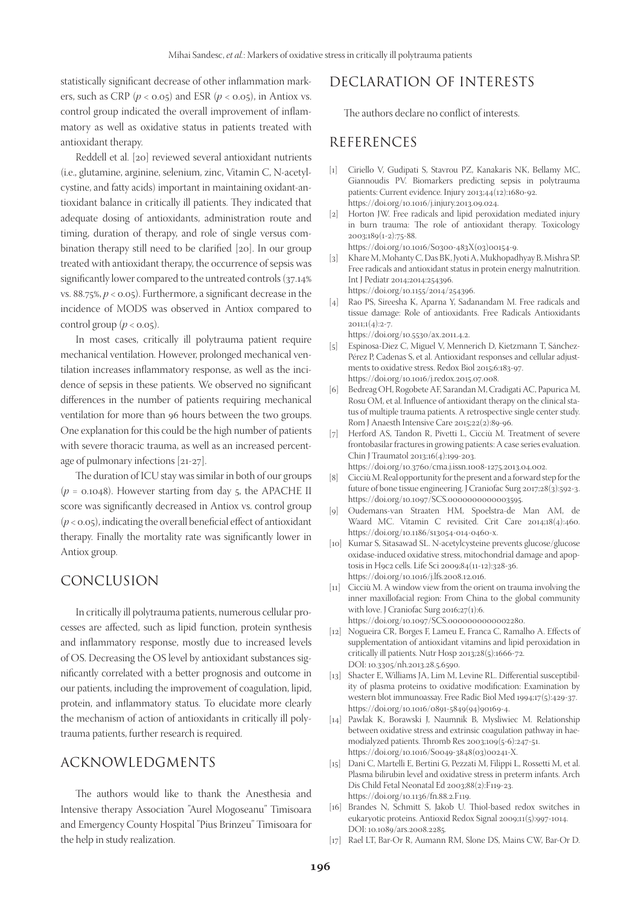statistically significant decrease of other inflammation markers, such as CRP ( $p < 0.05$ ) and ESR ( $p < 0.05$ ), in Antiox vs. control group indicated the overall improvement of inflammatory as well as oxidative status in patients treated with antioxidant therapy.

Reddell et al. [20] reviewed several antioxidant nutrients (i.e., glutamine, arginine, selenium, zinc, Vitamin C, N-acetylcystine, and fatty acids) important in maintaining oxidant-antioxidant balance in critically ill patients. They indicated that adequate dosing of antioxidants, administration route and timing, duration of therapy, and role of single versus combination therapy still need to be clarified [20]. In our group treated with antioxidant therapy, the occurrence of sepsis was significantly lower compared to the untreated controls (37.14% vs. 88.75%, *p* < 0.05). Furthermore, a significant decrease in the incidence of MODS was observed in Antiox compared to control group  $(p < 0.05)$ .

In most cases, critically ill polytrauma patient require mechanical ventilation. However, prolonged mechanical ventilation increases inflammatory response, as well as the incidence of sepsis in these patients. We observed no significant differences in the number of patients requiring mechanical ventilation for more than 96 hours between the two groups. One explanation for this could be the high number of patients with severe thoracic trauma, as well as an increased percentage of pulmonary infections [21-27].

The duration of ICU stay was similar in both of our groups  $(p = 0.1048)$ . However starting from day 5, the APACHE II score was significantly decreased in Antiox vs. control group  $(p < 0.05)$ , indicating the overall beneficial effect of antioxidant therapy. Finally the mortality rate was significantly lower in Antiox group.

## CONCLUSION

In critically ill polytrauma patients, numerous cellular processes are affected, such as lipid function, protein synthesis and inflammatory response, mostly due to increased levels of OS. Decreasing the OS level by antioxidant substances significantly correlated with a better prognosis and outcome in our patients, including the improvement of coagulation, lipid, protein, and inflammatory status. To elucidate more clearly the mechanism of action of antioxidants in critically ill polytrauma patients, further research is required.

## ACKNOWLEDGMENTS

The authors would like to thank the Anesthesia and Intensive therapy Association "Aurel Mogoseanu" Timisoara and Emergency County Hospital "Pius Brinzeu" Timisoara for the help in study realization.

# DECLARATION OF INTERESTS

The authors declare no conflict of interests.

## REFERENCES

- [1] Ciriello V, Gudipati S, Stavrou PZ, Kanakaris NK, Bellamy MC, Giannoudis PV. Biomarkers predicting sepsis in polytrauma patients: Current evidence. Injury 2013;44(12):1680-92. https://doi.org/10.1016/j.injury.2013.09.024.
- [2] Horton JW. Free radicals and lipid peroxidation mediated injury in burn trauma: The role of antioxidant therapy. Toxicology 2003;189(1-2):75-88.

https://doi.org/10.1016/S0300-483X(03)00154-9.

- [3] Khare M, Mohanty C, Das BK, Jyoti A, Mukhopadhyay B, Mishra SP. Free radicals and antioxidant status in protein energy malnutrition. Int J Pediatr 2014;2014:254396. https://doi.org/10.1155/2014/254396.
- [4] Rao PS, Sireesha K, Aparna Y, Sadanandam M. Free radicals and tissue damage: Role of antioxidants. Free Radicals Antioxidants  $2011:1(4):2-7.$ 
	- https://doi.org/10.5530/ax.2011.4.2.
- [5] Espinosa-Diez C, Miguel V, Mennerich D, Kietzmann T, Sánchez-Pérez P, Cadenas S, et al. Antioxidant responses and cellular adjustments to oxidative stress. Redox Biol 2015;6:183-97. https://doi.org/10.1016/j.redox.2015.07.008.
- [6] Bedreag OH, Rogobete AF, Sarandan M, Cradigati AC, Papurica M, Rosu OM, et al. Influence of antioxidant therapy on the clinical status of multiple trauma patients. A retrospective single center study. Rom J Anaesth Intensive Care 2015;22(2):89-96.
- [7] Herford AS, Tandon R, Pivetti L, Cicciù M. Treatment of severe frontobasilar fractures in growing patients: A case series evaluation. Chin J Traumatol 2013;16(4):199-203.
- https://doi.org/10.3760/cma.j.issn.1008-1275.2013.04.002.
- [8] Cicciù M. Real opportunity for the present and a forward step for the future of bone tissue engineering. J Craniofac Surg 2017;28(3):592-3. https://doi.org/10.1097/SCS.0000000000003595.
- [9] Oudemans-van Straaten HM, Spoelstra-de Man AM, de Waard MC. Vitamin C revisited. Crit Care 2014;18(4):460. https://doi.org/10.1186/s13054-014-0460-x.
- [10] Kumar S, Sitasawad SL. N-acetylcysteine prevents glucose/glucose oxidase-induced oxidative stress, mitochondrial damage and apoptosis in H9c2 cells. Life Sci 2009;84(11-12):328-36. https://doi.org/10.1016/j.lfs.2008.12.016.
- [11] Cicciù M. A window view from the orient on trauma involving the inner maxillofacial region: From China to the global community with love. J Craniofac Surg 2016;27(1):6. https://doi.org/10.1097/SCS.0000000000002280.
- [12] Nogueira CR, Borges F, Lameu E, Franca C, Ramalho A. Effects of supplementation of antioxidant vitamins and lipid peroxidation in critically ill patients. Nutr Hosp 2013;28(5):1666-72. DOI: 10.3305/nh.2013.28.5.6590.
- [13] Shacter E, Williams JA, Lim M, Levine RL. Differential susceptibility of plasma proteins to oxidative modification: Examination by western blot immunoassay. Free Radic Biol Med 1994;17(5):429-37. https://doi.org/10.1016/0891-5849(94)90169-4.
- [14] Pawlak K, Borawski J, Naumnik B, Mysliwiec M. Relationship between oxidative stress and extrinsic coagulation pathway in haemodialyzed patients. Thromb Res 2003;109(5-6):247-51. https://doi.org/10.1016/S0049-3848(03)00241-X.
- [15] Dani C, Martelli E, Bertini G, Pezzati M, Filippi L, Rossetti M, et al. Plasma bilirubin level and oxidative stress in preterm infants. Arch Dis Child Fetal Neonatal Ed 2003;88(2):F119-23. https://doi.org/10.1136/fn.88.2.F119.
- [16] Brandes N, Schmitt S, Jakob U. Thiol-based redox switches in eukaryotic proteins. Antioxid Redox Signal 2009;11(5):997-1014. DOI: 10.1089/ars.2008.2285.
- [17] Rael LT, Bar-Or R, Aumann RM, Slone DS, Mains CW, Bar-Or D.